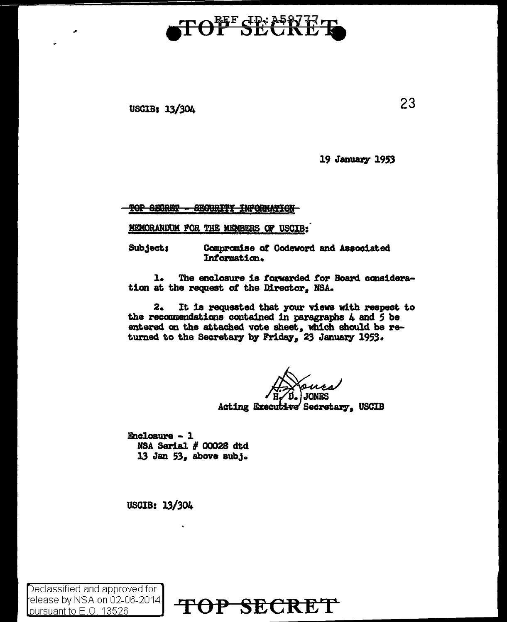## TOFF SECAP

USOIB: 13/304

19 January 1953

TOP SECRET - SECURITY INFORMATION

MEMORANDUM FOR THE MEMBERS OF USCIB:

Subject: Oanpraniae ot Codeword and Associated Intormation.

1. The enclosure is torwarded *tor* Board consideration at the request o£ the Director, NSA.

2. It is requested that your views with respect to the recommendations contained in paragraphs 4 and *S* be entered on the attached vote sheet, which should be returned to the Secretary by Friday, 23 January 1953.

15. JONF.S cut<del>iv</del>e' Secretary, USCIB

Enclosure - l NSA Serial  $#$  00028 dtd 13 Jan 53, above subj.

USCIB: l3/304

Declassified and approved for elease by NSA on 02-06-2014

[elease by NSA on U2-U6-2U14]  $\,$  TOP SECRET

23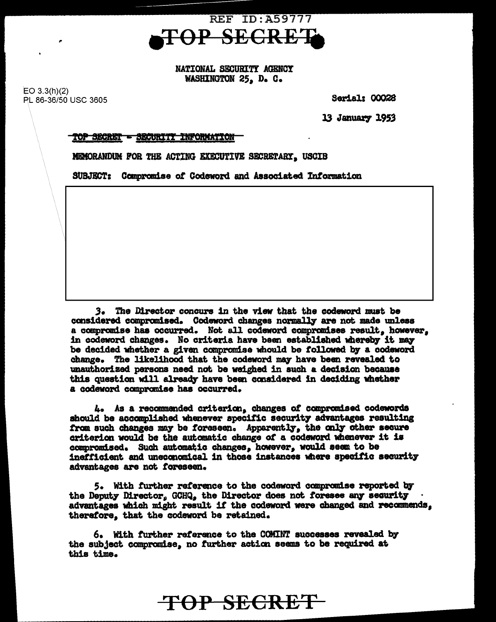

NATIONAL SECURITY AGENCY WASHINGTON 25. D. C.

 $EO 3.3(h)(2)$ PL 86-36/50 USC 3605

**Serial: 00028** 

13 January 1953

## TOP SECRET - SECURITY INFORMATION

MEMORANDUM FOR THE ACTING EXECUTIVE SECRETARY, USCIB

SUBJECT: Compromise of Codeword and Associated Information

3. The Director concurs in the view that the codeword must be considered compromised. Codeword changes normally are not made unless a compromise has occurred. Not all codeword compromises result, however, in codeword changes. No criteria have been established whereby it may be decided whether a given compromise whould be followed by a codeword change. The likelihood that the codeword may have been revealed to unauthorized persons need not be weighed in such a decision because this question will already have been considered in deciding whether a codeword compromise has occurred.

4. As a recommended criterion, changes of compromised codewords should be accomplished whenever specific security advantages resulting from such changes may be foreseen. Apparently, the only other secure criterion would be the automatic change of a codeword whenever it is compromised. Such automatic changes, however, would seem to be inefficient and uneconomical in those instances where specific security advantages are not foreseen.

5. With further reference to the codeword compromise reported by the Deputy Director, GCHQ, the Director does not foresee any security advantages which might result if the codeword were changed and recommends. therefore, that the codeword be retained.

6. With further reference to the COMINT successes revealed by the subject compromise, no further action seems to be required at this time.

TOP SECRET